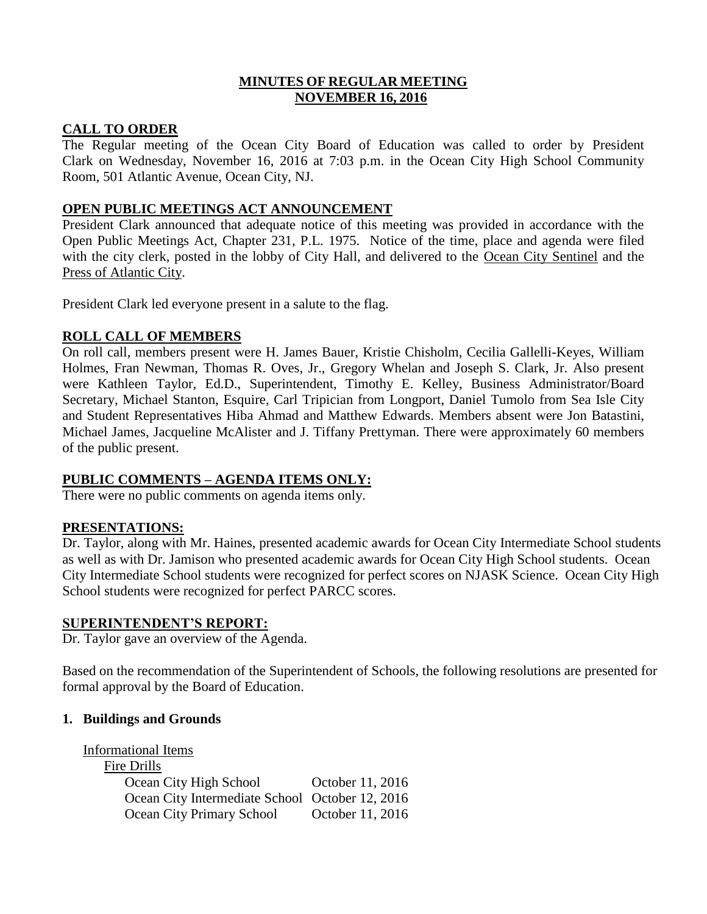### **MINUTES OF REGULAR MEETING NOVEMBER 16, 2016**

## **CALL TO ORDER**

The Regular meeting of the Ocean City Board of Education was called to order by President Clark on Wednesday, November 16, 2016 at 7:03 p.m. in the Ocean City High School Community Room, 501 Atlantic Avenue, Ocean City, NJ.

## **OPEN PUBLIC MEETINGS ACT ANNOUNCEMENT**

President Clark announced that adequate notice of this meeting was provided in accordance with the Open Public Meetings Act, Chapter 231, P.L. 1975. Notice of the time, place and agenda were filed with the city clerk, posted in the lobby of City Hall, and delivered to the Ocean City Sentinel and the Press of Atlantic City.

President Clark led everyone present in a salute to the flag.

## **ROLL CALL OF MEMBERS**

On roll call, members present were H. James Bauer, Kristie Chisholm, Cecilia Gallelli-Keyes, William Holmes, Fran Newman, Thomas R. Oves, Jr., Gregory Whelan and Joseph S. Clark, Jr. Also present were Kathleen Taylor, Ed.D., Superintendent, Timothy E. Kelley, Business Administrator/Board Secretary, Michael Stanton, Esquire, Carl Tripician from Longport, Daniel Tumolo from Sea Isle City and Student Representatives Hiba Ahmad and Matthew Edwards. Members absent were Jon Batastini, Michael James, Jacqueline McAlister and J. Tiffany Prettyman. There were approximately 60 members of the public present.

## **PUBLIC COMMENTS – AGENDA ITEMS ONLY:**

There were no public comments on agenda items only.

#### **PRESENTATIONS:**

Dr. Taylor, along with Mr. Haines, presented academic awards for Ocean City Intermediate School students as well as with Dr. Jamison who presented academic awards for Ocean City High School students. Ocean City Intermediate School students were recognized for perfect scores on NJASK Science. Ocean City High School students were recognized for perfect PARCC scores.

#### **SUPERINTENDENT'S REPORT:**

Dr. Taylor gave an overview of the Agenda.

Based on the recommendation of the Superintendent of Schools, the following resolutions are presented for formal approval by the Board of Education.

#### **1. Buildings and Grounds**

#### Informational Items

| Fire Drills                                     |                  |
|-------------------------------------------------|------------------|
| Ocean City High School                          | October 11, 2016 |
| Ocean City Intermediate School October 12, 2016 |                  |
| Ocean City Primary School                       | October 11, 2016 |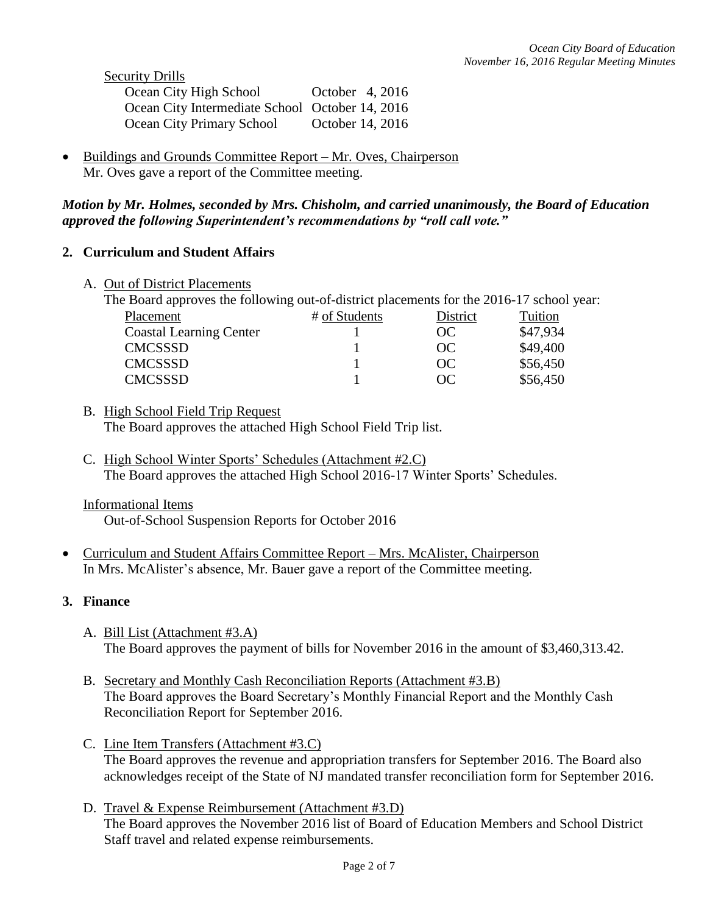Security Drills

| Ocean City High School                          | October 4, 2016  |
|-------------------------------------------------|------------------|
| Ocean City Intermediate School October 14, 2016 |                  |
| Ocean City Primary School                       | October 14, 2016 |

 Buildings and Grounds Committee Report – Mr. Oves, Chairperson Mr. Oves gave a report of the Committee meeting.

### *Motion by Mr. Holmes, seconded by Mrs. Chisholm, and carried unanimously, the Board of Education approved the following Superintendent's recommendations by "roll call vote."*

## **2. Curriculum and Student Affairs**

A. Out of District Placements

| The Board approves the following out-of-district placements for the 2016-17 school year: |               |          |          |
|------------------------------------------------------------------------------------------|---------------|----------|----------|
| Placement                                                                                | # of Students | District | Tuition  |
| <b>Coastal Learning Center</b>                                                           |               | OC       | \$47,934 |
| <b>CMCSSSD</b>                                                                           |               | OC       | \$49,400 |
| <b>CMCSSSD</b>                                                                           |               | OC       | \$56,450 |
| <b>CMCSSSD</b>                                                                           |               | OC       | \$56,450 |
|                                                                                          |               |          |          |

- B. High School Field Trip Request The Board approves the attached High School Field Trip list.
- C. High School Winter Sports' Schedules (Attachment #2.C) The Board approves the attached High School 2016-17 Winter Sports' Schedules.
- Informational Items

Out-of-School Suspension Reports for October 2016

 Curriculum and Student Affairs Committee Report – Mrs. McAlister, Chairperson In Mrs. McAlister's absence, Mr. Bauer gave a report of the Committee meeting.

## **3. Finance**

- A. Bill List (Attachment #3.A) The Board approves the payment of bills for November 2016 in the amount of \$3,460,313.42.
- B. Secretary and Monthly Cash Reconciliation Reports (Attachment #3.B) The Board approves the Board Secretary's Monthly Financial Report and the Monthly Cash Reconciliation Report for September 2016.
- C. Line Item Transfers (Attachment #3.C) The Board approves the revenue and appropriation transfers for September 2016. The Board also acknowledges receipt of the State of NJ mandated transfer reconciliation form for September 2016.
- D. Travel & Expense Reimbursement (Attachment #3.D) The Board approves the November 2016 list of Board of Education Members and School District Staff travel and related expense reimbursements.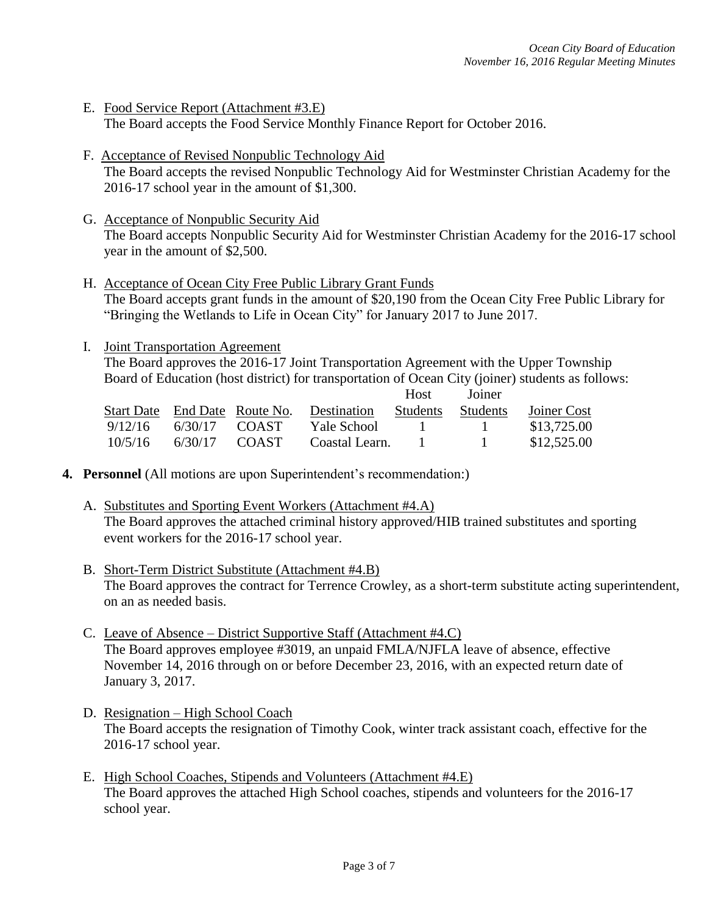- E. Food Service Report (Attachment #3.E) The Board accepts the Food Service Monthly Finance Report for October 2016.
- F. Acceptance of Revised Nonpublic Technology Aid The Board accepts the revised Nonpublic Technology Aid for Westminster Christian Academy for the 2016-17 school year in the amount of \$1,300.
- G. Acceptance of Nonpublic Security Aid The Board accepts Nonpublic Security Aid for Westminster Christian Academy for the 2016-17 school year in the amount of \$2,500.
- H. Acceptance of Ocean City Free Public Library Grant Funds The Board accepts grant funds in the amount of \$20,190 from the Ocean City Free Public Library for "Bringing the Wetlands to Life in Ocean City" for January 2017 to June 2017.
- I. Joint Transportation Agreement

The Board approves the 2016-17 Joint Transportation Agreement with the Upper Township Board of Education (host district) for transportation of Ocean City (joiner) students as follows:

|         |         |                               |                | <b>Host</b> | Joiner       |             |
|---------|---------|-------------------------------|----------------|-------------|--------------|-------------|
|         |         | Start Date End Date Route No. | Destination    | Students    | Students     | Joiner Cost |
| 9/12/16 | 6/30/17 | COAST                         | Yale School    |             | $\mathbf{I}$ | \$13,725.00 |
| 10/5/16 | 6/30/17 | COAST                         | Coastal Learn. |             |              | \$12,525.00 |

- **4. Personnel** (All motions are upon Superintendent's recommendation:)
	- A. Substitutes and Sporting Event Workers (Attachment #4.A) The Board approves the attached criminal history approved/HIB trained substitutes and sporting event workers for the 2016-17 school year.
	- B. Short-Term District Substitute (Attachment #4.B) The Board approves the contract for Terrence Crowley, as a short-term substitute acting superintendent, on an as needed basis.
	- C. Leave of Absence District Supportive Staff (Attachment #4.C) The Board approves employee #3019, an unpaid FMLA/NJFLA leave of absence, effective November 14, 2016 through on or before December 23, 2016, with an expected return date of January 3, 2017.
	- D. Resignation High School Coach The Board accepts the resignation of Timothy Cook, winter track assistant coach, effective for the 2016-17 school year.
	- E. High School Coaches, Stipends and Volunteers (Attachment #4.E) The Board approves the attached High School coaches, stipends and volunteers for the 2016-17 school year.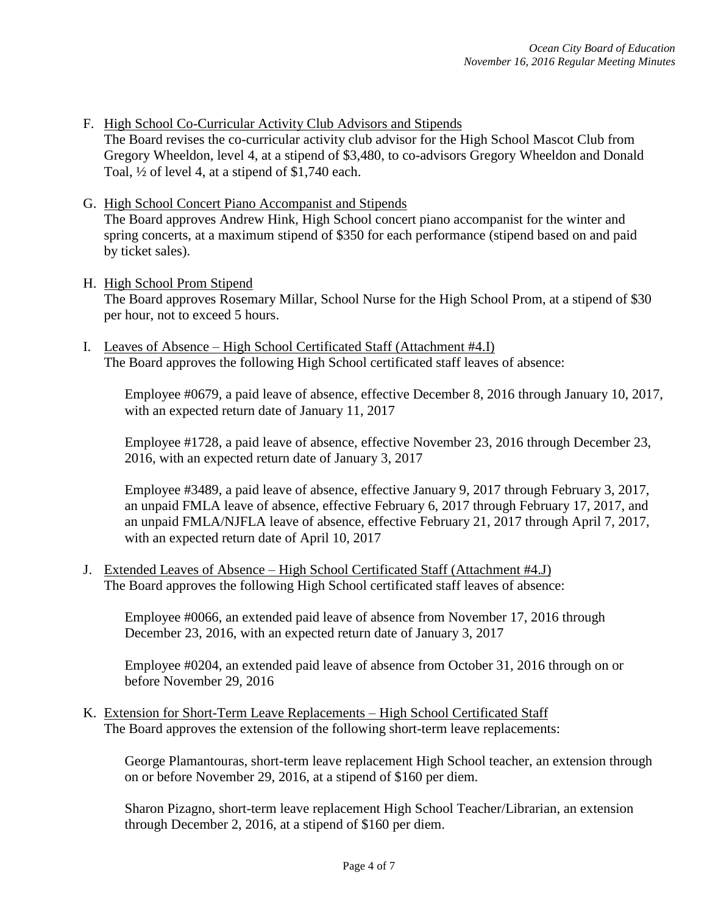F. High School Co-Curricular Activity Club Advisors and Stipends

The Board revises the co-curricular activity club advisor for the High School Mascot Club from Gregory Wheeldon, level 4, at a stipend of \$3,480, to co-advisors Gregory Wheeldon and Donald Toal, ½ of level 4, at a stipend of \$1,740 each.

G. High School Concert Piano Accompanist and Stipends

The Board approves Andrew Hink, High School concert piano accompanist for the winter and spring concerts, at a maximum stipend of \$350 for each performance (stipend based on and paid by ticket sales).

H. High School Prom Stipend

The Board approves Rosemary Millar, School Nurse for the High School Prom, at a stipend of \$30 per hour, not to exceed 5 hours.

I. Leaves of Absence – High School Certificated Staff (Attachment #4.I) The Board approves the following High School certificated staff leaves of absence:

Employee #0679, a paid leave of absence, effective December 8, 2016 through January 10, 2017, with an expected return date of January 11, 2017

Employee #1728, a paid leave of absence, effective November 23, 2016 through December 23, 2016, with an expected return date of January 3, 2017

Employee #3489, a paid leave of absence, effective January 9, 2017 through February 3, 2017, an unpaid FMLA leave of absence, effective February 6, 2017 through February 17, 2017, and an unpaid FMLA/NJFLA leave of absence, effective February 21, 2017 through April 7, 2017, with an expected return date of April 10, 2017

J. Extended Leaves of Absence – High School Certificated Staff (Attachment #4.J) The Board approves the following High School certificated staff leaves of absence:

Employee #0066, an extended paid leave of absence from November 17, 2016 through December 23, 2016, with an expected return date of January 3, 2017

Employee #0204, an extended paid leave of absence from October 31, 2016 through on or before November 29, 2016

K. Extension for Short-Term Leave Replacements – High School Certificated Staff The Board approves the extension of the following short-term leave replacements:

George Plamantouras, short-term leave replacement High School teacher, an extension through on or before November 29, 2016, at a stipend of \$160 per diem.

Sharon Pizagno, short-term leave replacement High School Teacher/Librarian, an extension through December 2, 2016, at a stipend of \$160 per diem.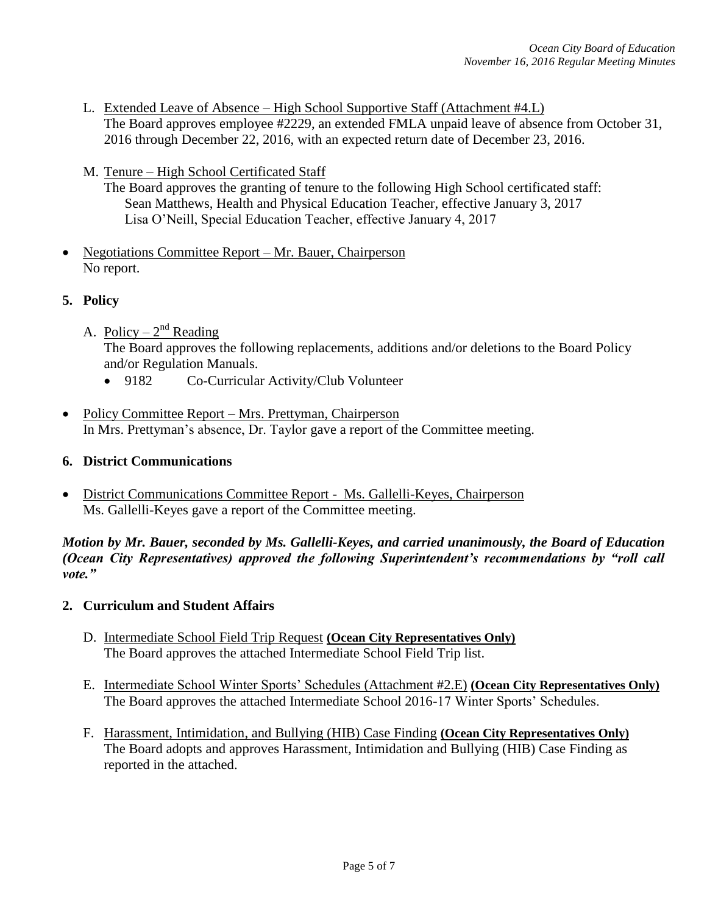- L. Extended Leave of Absence High School Supportive Staff (Attachment #4.L) The Board approves employee #2229, an extended FMLA unpaid leave of absence from October 31, 2016 through December 22, 2016, with an expected return date of December 23, 2016.
- M. Tenure High School Certificated Staff
	- The Board approves the granting of tenure to the following High School certificated staff: Sean Matthews, Health and Physical Education Teacher, effective January 3, 2017 Lisa O'Neill, Special Education Teacher, effective January 4, 2017
- Negotiations Committee Report Mr. Bauer, Chairperson No report.
- **5. Policy**
	- A. Policy  $2<sup>nd</sup>$  Reading The Board approves the following replacements, additions and/or deletions to the Board Policy and/or Regulation Manuals.
		- 9182 Co-Curricular Activity/Club Volunteer
- Policy Committee Report Mrs. Prettyman, Chairperson In Mrs. Prettyman's absence, Dr. Taylor gave a report of the Committee meeting.

#### **6. District Communications**

 District Communications Committee Report - Ms. Gallelli-Keyes, Chairperson Ms. Gallelli-Keyes gave a report of the Committee meeting.

*Motion by Mr. Bauer, seconded by Ms. Gallelli-Keyes, and carried unanimously, the Board of Education (Ocean City Representatives) approved the following Superintendent's recommendations by "roll call vote."* 

#### **2. Curriculum and Student Affairs**

- D. Intermediate School Field Trip Request **(Ocean City Representatives Only)** The Board approves the attached Intermediate School Field Trip list.
- E. Intermediate School Winter Sports' Schedules (Attachment #2.E) **(Ocean City Representatives Only)** The Board approves the attached Intermediate School 2016-17 Winter Sports' Schedules.
- F. Harassment, Intimidation, and Bullying (HIB) Case Finding **(Ocean City Representatives Only)** The Board adopts and approves Harassment, Intimidation and Bullying (HIB) Case Finding as reported in the attached.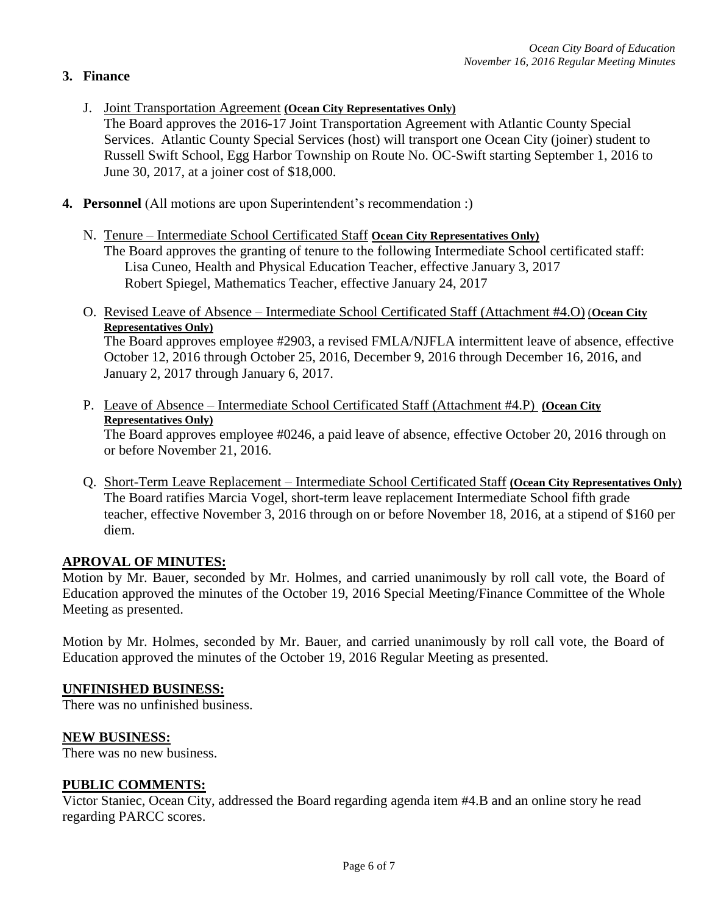# **3. Finance**

- J. Joint Transportation Agreement **(Ocean City Representatives Only)**
	- The Board approves the 2016-17 Joint Transportation Agreement with Atlantic County Special Services. Atlantic County Special Services (host) will transport one Ocean City (joiner) student to Russell Swift School, Egg Harbor Township on Route No. OC-Swift starting September 1, 2016 to June 30, 2017, at a joiner cost of \$18,000.
- **4. Personnel** (All motions are upon Superintendent's recommendation :)
	- N. Tenure Intermediate School Certificated Staff **Ocean City Representatives Only)** The Board approves the granting of tenure to the following Intermediate School certificated staff: Lisa Cuneo, Health and Physical Education Teacher, effective January 3, 2017 Robert Spiegel, Mathematics Teacher, effective January 24, 2017
	- O. Revised Leave of Absence Intermediate School Certificated Staff (Attachment #4.O) (**Ocean City Representatives Only)**

The Board approves employee #2903, a revised FMLA/NJFLA intermittent leave of absence, effective October 12, 2016 through October 25, 2016, December 9, 2016 through December 16, 2016, and January 2, 2017 through January 6, 2017.

P. Leave of Absence – Intermediate School Certificated Staff (Attachment #4.P) **(Ocean City Representatives Only)**

The Board approves employee #0246, a paid leave of absence, effective October 20, 2016 through on or before November 21, 2016.

Q. Short-Term Leave Replacement – Intermediate School Certificated Staff **(Ocean City Representatives Only)** The Board ratifies Marcia Vogel, short-term leave replacement Intermediate School fifth grade teacher, effective November 3, 2016 through on or before November 18, 2016, at a stipend of \$160 per diem.

## **APROVAL OF MINUTES:**

Motion by Mr. Bauer, seconded by Mr. Holmes, and carried unanimously by roll call vote, the Board of Education approved the minutes of the October 19, 2016 Special Meeting/Finance Committee of the Whole Meeting as presented.

Motion by Mr. Holmes, seconded by Mr. Bauer, and carried unanimously by roll call vote, the Board of Education approved the minutes of the October 19, 2016 Regular Meeting as presented.

# **UNFINISHED BUSINESS:**

There was no unfinished business.

## **NEW BUSINESS:**

There was no new business.

## **PUBLIC COMMENTS:**

Victor Staniec, Ocean City, addressed the Board regarding agenda item #4.B and an online story he read regarding PARCC scores.